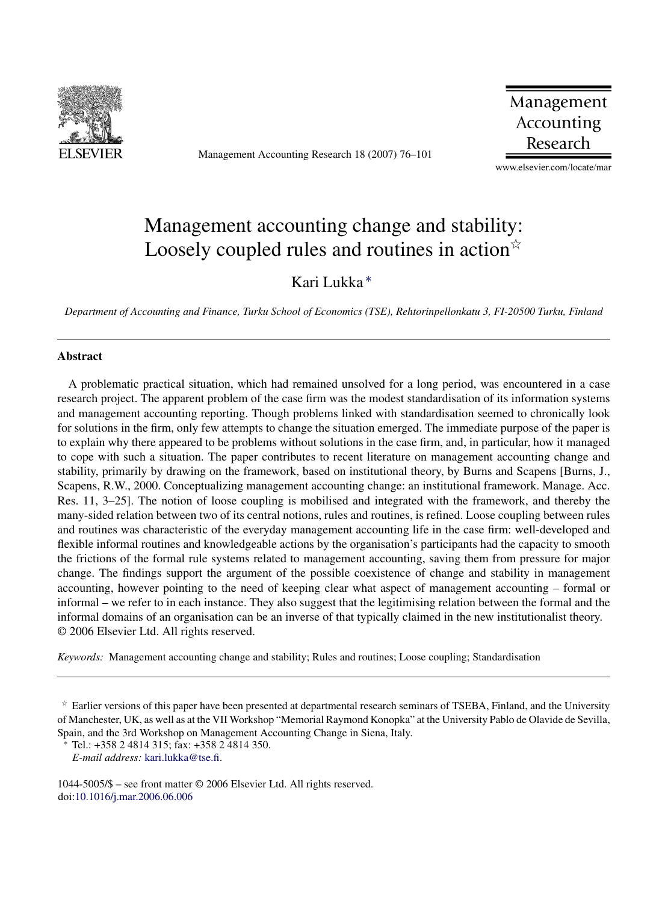

Management Accounting Research 18 (2007) 76–101

Management Accounting Research

www.elsevier.com/locate/mar

# Management accounting change and stability: Loosely coupled rules and routines in action $\dot{z}$

# Kari Lukka ∗

*Department of Accounting and Finance, Turku School of Economics (TSE), Rehtorinpellonkatu 3, FI-20500 Turku, Finland*

### **Abstract**

A problematic practical situation, which had remained unsolved for a long period, was encountered in a case research project. The apparent problem of the case firm was the modest standardisation of its information systems and management accounting reporting. Though problems linked with standardisation seemed to chronically look for solutions in the firm, only few attempts to change the situation emerged. The immediate purpose of the paper is to explain why there appeared to be problems without solutions in the case firm, and, in particular, how it managed to cope with such a situation. The paper contributes to recent literature on management accounting change and stability, primarily by drawing on the framework, based on institutional theory, by Burns and Scapens [Burns, J., Scapens, R.W., 2000. Conceptualizing management accounting change: an institutional framework. Manage. Acc. Res. 11, 3–25]. The notion of loose coupling is mobilised and integrated with the framework, and thereby the many-sided relation between two of its central notions, rules and routines, is refined. Loose coupling between rules and routines was characteristic of the everyday management accounting life in the case firm: well-developed and flexible informal routines and knowledgeable actions by the organisation's participants had the capacity to smooth the frictions of the formal rule systems related to management accounting, saving them from pressure for major change. The findings support the argument of the possible coexistence of change and stability in management accounting, however pointing to the need of keeping clear what aspect of management accounting – formal or informal – we refer to in each instance. They also suggest that the legitimising relation between the formal and the informal domains of an organisation can be an inverse of that typically claimed in the new institutionalist theory. © 2006 Elsevier Ltd. All rights reserved.

*Keywords:* Management accounting change and stability; Rules and routines; Loose coupling; Standardisation

 $*$  Earlier versions of this paper have been presented at departmental research seminars of TSEBA, Finland, and the University of Manchester, UK, as well as at the VII Workshop "Memorial Raymond Konopka" at the University Pablo de Olavide de Sevilla, Spain, and the 3rd Workshop on Management Accounting Change in Siena, Italy.

Tel.: +358 2 4814 315; fax: +358 2 4814 350.

*E-mail address:* [kari.lukka@tse.fi](mailto:kari.lukka@tse.fi).

1044-5005/\$ – see front matter © 2006 Elsevier Ltd. All rights reserved. doi:[10.1016/j.mar.2006.06.006](dx.doi.org/10.1016/j.mar.2006.06.006)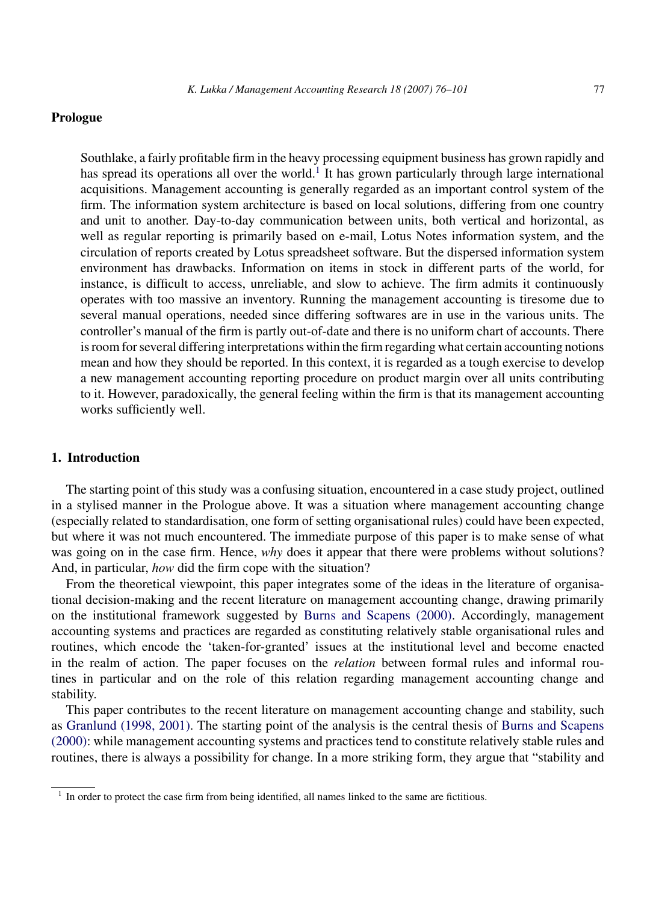#### *K. Lukka / Management Accounting Research 18 (2007) 76–101* 77

## **Prologue**

Southlake, a fairly profitable firm in the heavy processing equipment business has grown rapidly and has spread its operations all over the world.<sup>1</sup> It has grown particularly through large international acquisitions. Management accounting is generally regarded as an important control system of the firm. The information system architecture is based on local solutions, differing from one country and unit to another. Day-to-day communication between units, both vertical and horizontal, as well as regular reporting is primarily based on e-mail, Lotus Notes information system, and the circulation of reports created by Lotus spreadsheet software. But the dispersed information system environment has drawbacks. Information on items in stock in different parts of the world, for instance, is difficult to access, unreliable, and slow to achieve. The firm admits it continuously operates with too massive an inventory. Running the management accounting is tiresome due to several manual operations, needed since differing softwares are in use in the various units. The controller's manual of the firm is partly out-of-date and there is no uniform chart of accounts. There is room for several differing interpretations within the firm regarding what certain accounting notions mean and how they should be reported. In this context, it is regarded as a tough exercise to develop a new management accounting reporting procedure on product margin over all units contributing to it. However, paradoxically, the general feeling within the firm is that its management accounting works sufficiently well.

## **1. Introduction**

The starting point of this study was a confusing situation, encountered in a case study project, outlined in a stylised manner in the Prologue above. It was a situation where management accounting change (especially related to standardisation, one form of setting organisational rules) could have been expected, but where it was not much encountered. The immediate purpose of this paper is to make sense of what was going on in the case firm. Hence, *why* does it appear that there were problems without solutions? And, in particular, *how* did the firm cope with the situation?

From the theoretical viewpoint, this paper integrates some of the ideas in the literature of organisational decision-making and the recent literature on management accounting change, drawing primarily on the institutional framework suggested by [Burns and Scapens \(2000\).](#page--1-0) Accordingly, management accounting systems and practices are regarded as constituting relatively stable organisational rules and routines, which encode the 'taken-for-granted' issues at the institutional level and become enacted in the realm of action. The paper focuses on the *relation* between formal rules and informal routines in particular and on the role of this relation regarding management accounting change and stability.

This paper contributes to the recent literature on management accounting change and stability, such as [Granlund \(1998, 2001\).](#page--1-0) The starting point of the analysis is the central thesis of [Burns and Scapens](#page--1-0) [\(2000\):](#page--1-0) while management accounting systems and practices tend to constitute relatively stable rules and routines, there is always a possibility for change. In a more striking form, they argue that "stability and

<sup>&</sup>lt;sup>1</sup> In order to protect the case firm from being identified, all names linked to the same are fictitious.